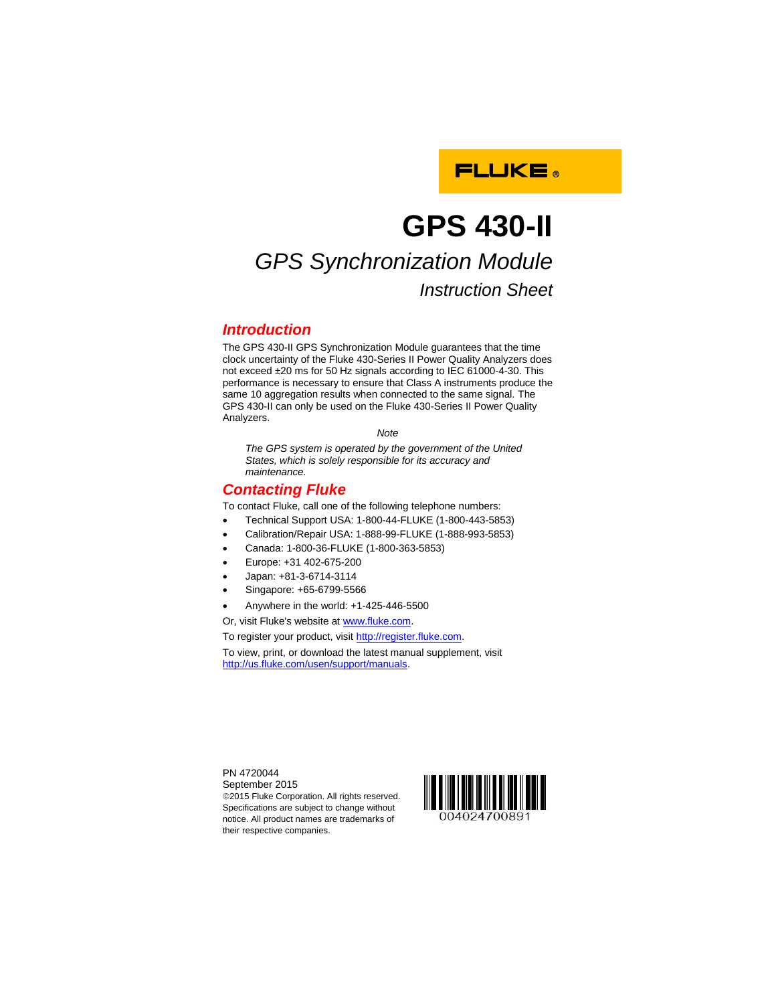

# **GPS 430-II**

## *GPS Synchronization Module Instruction Sheet*

## *Introduction*

The GPS 430-II GPS Synchronization Module guarantees that the time clock uncertainty of the Fluke 430-Series II Power Quality Analyzers does not exceed ±20 ms for 50 Hz signals according to IEC 61000-4-30. This performance is necessary to ensure that Class A instruments produce the same 10 aggregation results when connected to the same signal. The GPS 430-II can only be used on the Fluke 430-Series II Power Quality Analyzers.

*Note*

*The GPS system is operated by the government of the United States, which is solely responsible for its accuracy and maintenance.*

## *Contacting Fluke*

To contact Fluke, call one of the following telephone numbers:

- Technical Support USA: 1-800-44-FLUKE (1-800-443-5853)
- Calibration/Repair USA: 1-888-99-FLUKE (1-888-993-5853)
- Canada: 1-800-36-FLUKE (1-800-363-5853)
- Europe: +31 402-675-200
- Japan: +81-3-6714-3114
- Singapore: +65-6799-5566
- Anywhere in the world: +1-425-446-5500

Or, visit Fluke's website a[t www.fluke.com.](http://www.fluke.com/)

To register your product, visit [http://register.fluke.com.](http://register.fluke.com/)

To view, print, or download the latest manual supplement, visit [http://us.fluke.com/usen/support/manuals.](http://us.fluke.com/usen/support/manuals)

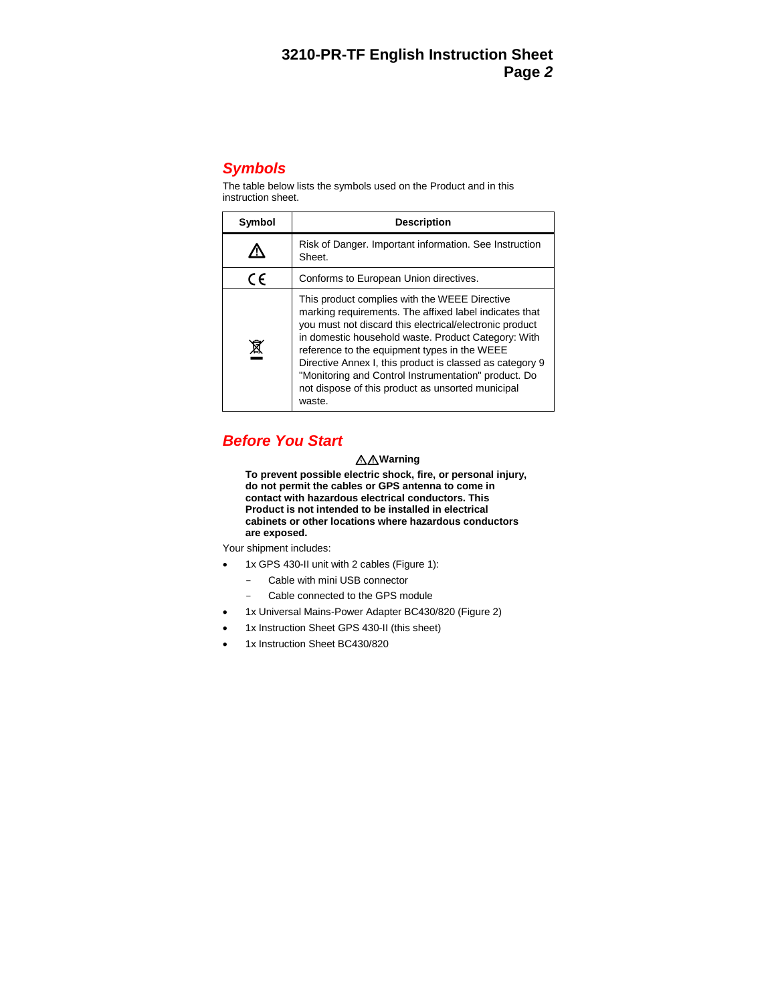## *Symbols*

The table below lists the symbols used on the Product and in this instruction sheet.

| Symbol     | <b>Description</b>                                                                                                                                                                                                                                                                                                                                                                                                                                           |
|------------|--------------------------------------------------------------------------------------------------------------------------------------------------------------------------------------------------------------------------------------------------------------------------------------------------------------------------------------------------------------------------------------------------------------------------------------------------------------|
|            | Risk of Danger. Important information. See Instruction<br>Sheet.                                                                                                                                                                                                                                                                                                                                                                                             |
| $\epsilon$ | Conforms to European Union directives.                                                                                                                                                                                                                                                                                                                                                                                                                       |
|            | This product complies with the WEEE Directive<br>marking requirements. The affixed label indicates that<br>you must not discard this electrical/electronic product<br>in domestic household waste. Product Category: With<br>reference to the equipment types in the WEEE<br>Directive Annex I, this product is classed as category 9<br>"Monitoring and Control Instrumentation" product. Do<br>not dispose of this product as unsorted municipal<br>waste. |

## *Before You Start*

#### **Warning**

**To prevent possible electric shock, fire, or personal injury, do not permit the cables or GPS antenna to come in contact with hazardous electrical conductors. This Product is not intended to be installed in electrical cabinets or other locations where hazardous conductors are exposed.**

Your shipment includes:

- 1x GPS 430-II unit with 2 cables (Figure 1):
	- Cable with mini USB connector
	- Cable connected to the GPS module
- 1x Universal Mains-Power Adapter BC430/820 (Figure 2)
- 1x Instruction Sheet GPS 430-II (this sheet)
- 1x Instruction Sheet BC430/820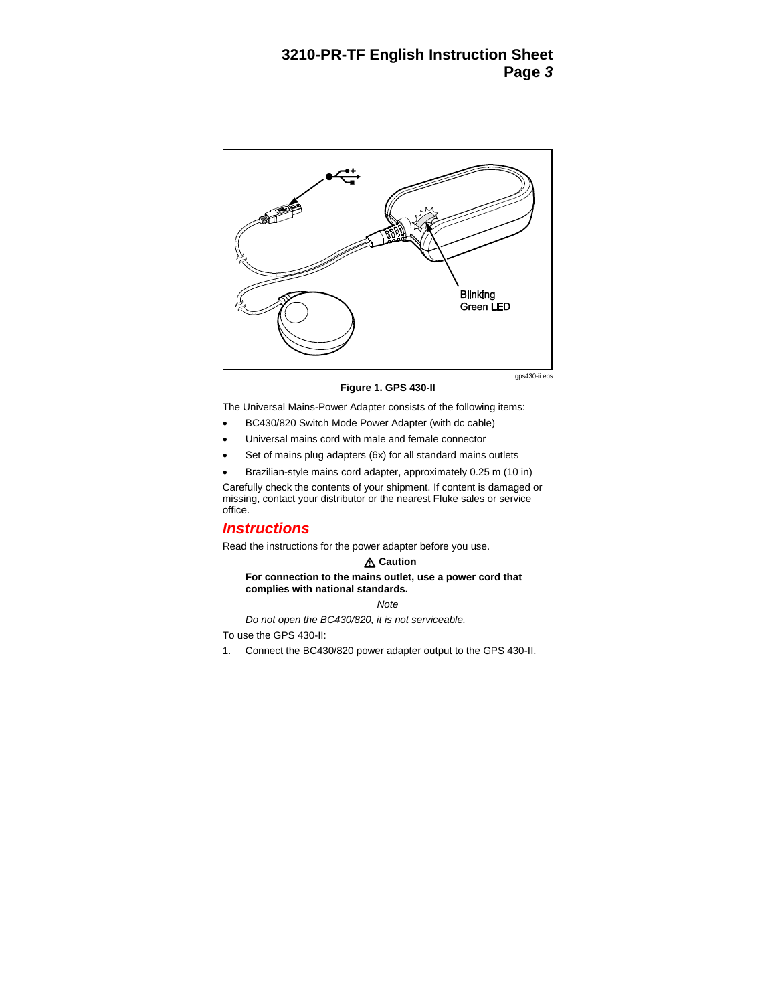

gps430-ii.eps

**Figure 1. GPS 430-II**

The Universal Mains-Power Adapter consists of the following items:

- BC430/820 Switch Mode Power Adapter (with dc cable)
- Universal mains cord with male and female connector
- Set of mains plug adapters (6x) for all standard mains outlets
- Brazilian-style mains cord adapter, approximately 0.25 m (10 in)

Carefully check the contents of your shipment. If content is damaged or missing, contact your distributor or the nearest Fluke sales or service office.

### *Instructions*

Read the instructions for the power adapter before you use.

#### **△ Caution**

#### **For connection to the mains outlet, use a power cord that complies with national standards.**

*Note*

*Do not open the BC430/820, it is not serviceable.*

To use the GPS 430-II:

1. Connect the BC430/820 power adapter output to the GPS 430-II.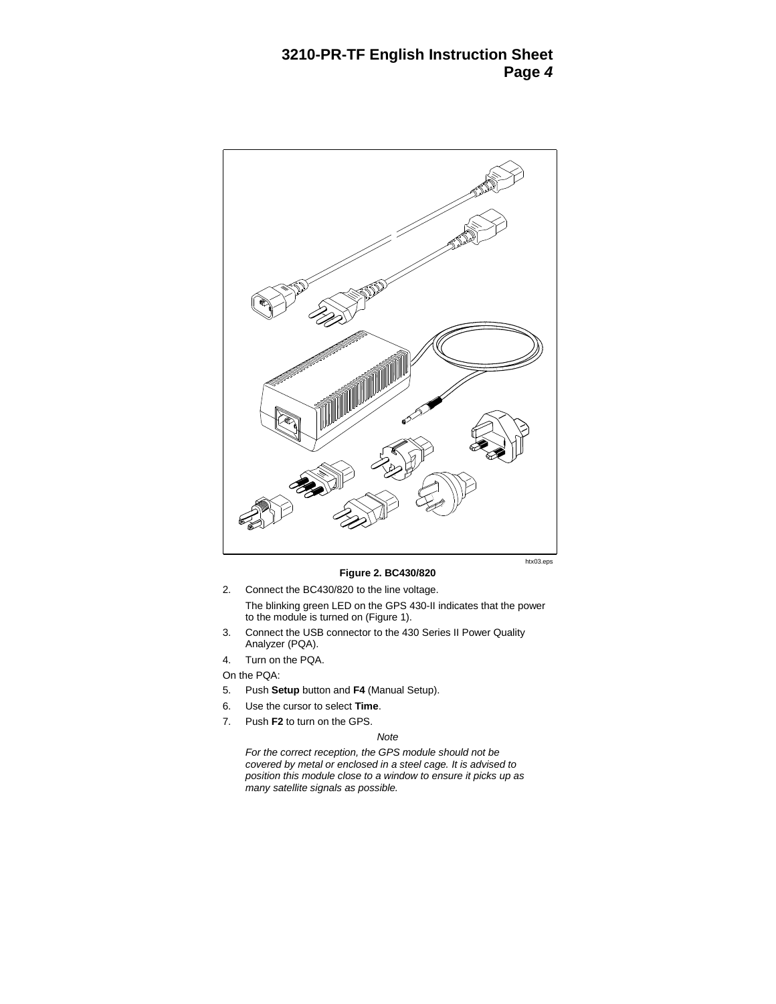

**Figure 2. BC430/820**

2. Connect the BC430/820 to the line voltage.

The blinking green LED on the GPS 430-II indicates that the power to the module is turned on (Figure 1).

- 3. Connect the USB connector to the 430 Series II Power Quality Analyzer (PQA).
- 4. Turn on the PQA.

On the PQA:

- 5. Push **Setup** button and **F4** (Manual Setup).
- 6. Use the cursor to select **Time**.
- 7. Push **F2** to turn on the GPS.

#### *Note*

*For the correct reception, the GPS module should not be covered by metal or enclosed in a steel cage. It is advised to position this module close to a window to ensure it picks up as many satellite signals as possible.*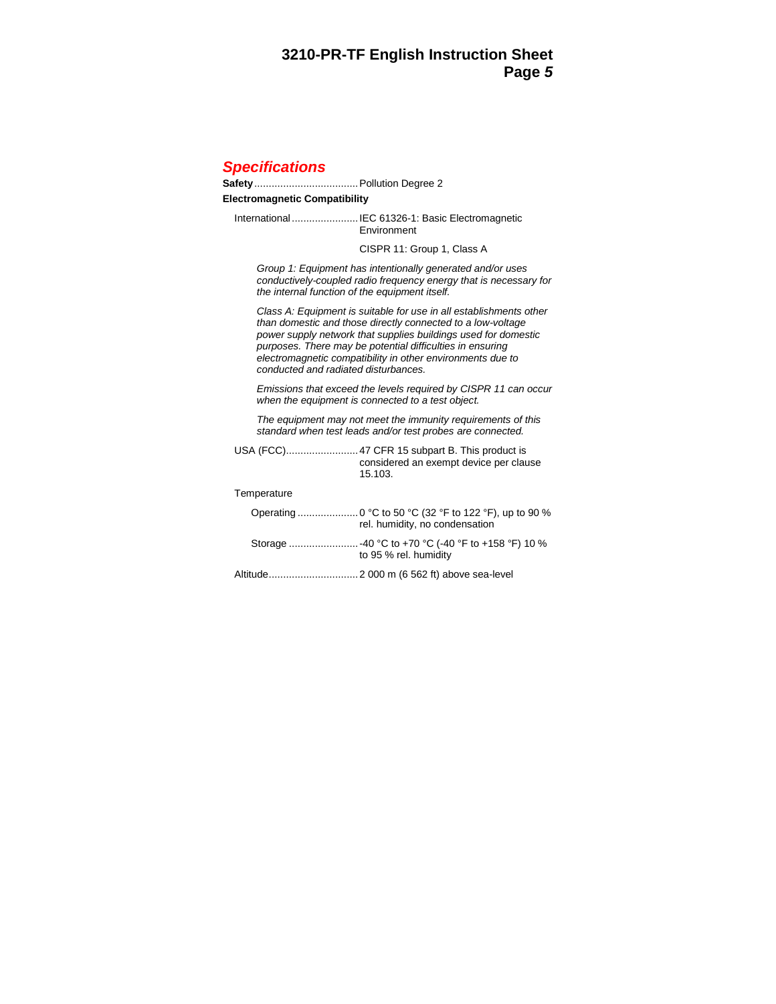## *Specifications*

**Safety**....................................Pollution Degree 2

#### **Electromagnetic Compatibility**

International .......................IEC 61326-1: Basic Electromagnetic Environment

CISPR 11: Group 1, Class A

*Group 1: Equipment has intentionally generated and/or uses conductively-coupled radio frequency energy that is necessary for the internal function of the equipment itself.* 

*Class A: Equipment is suitable for use in all establishments other than domestic and those directly connected to a low-voltage power supply network that supplies buildings used for domestic purposes. There may be potential difficulties in ensuring electromagnetic compatibility in other environments due to conducted and radiated disturbances.* 

*Emissions that exceed the levels required by CISPR 11 can occur when the equipment is connected to a test object.*

*The equipment may not meet the immunity requirements of this standard when test leads and/or test probes are connected.* 

|             | considered an exempt device per clause<br>15.103. |
|-------------|---------------------------------------------------|
| Temperature |                                                   |
|             | rel. humidity, no condensation                    |
|             | to 95 % rel. humidity                             |
|             |                                                   |